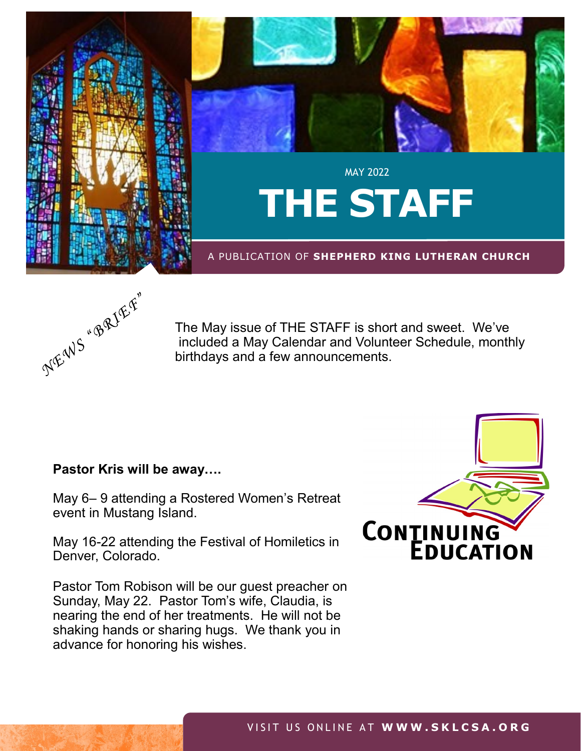

## A PUBLICATION OF **SHEPHERD KING LUTHERAN CHURCH**



**SEE PAGE** 

The May issue of THE STAFF is short and sweet. We've included a May Calendar and Volunteer Schedule, monthly birthdays and a few announcements.

# **Pastor Kris will be away….**

May 6– 9 attending a Rostered Women's Retreat event in Mustang Island.

May 16-22 attending the Festival of Homiletics in Denver, Colorado.

Pastor Tom Robison will be our guest preacher on Sunday, May 22. Pastor Tom's wife, Claudia, is nearing the end of her treatments. He will not be shaking hands or sharing hugs. We thank you in advance for honoring his wishes.

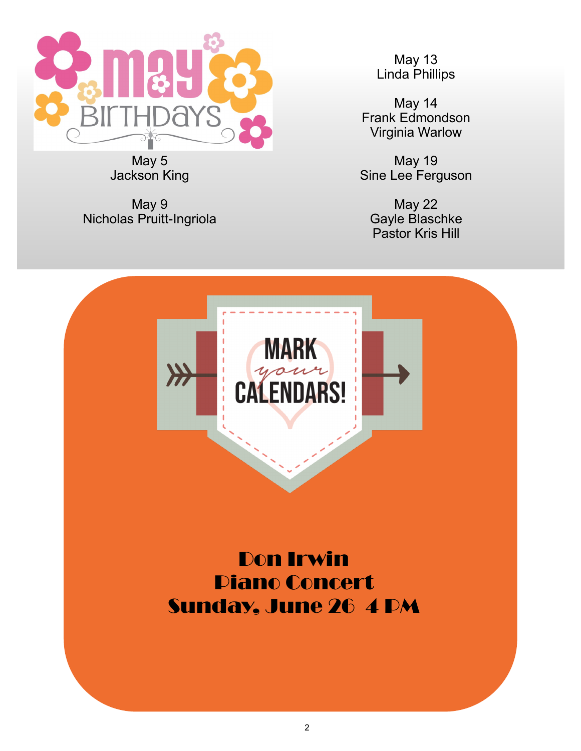

May 5 Jackson King

May 9 Nicholas Pruitt-Ingriola

May 13 Linda Phillips

May 14 Frank Edmondson Virginia Warlow

May 19 Sine Lee Ferguson

May 22 Gayle Blaschke Pastor Kris Hill



Don Irwin Piano Concert Sunday, June 26 4 PM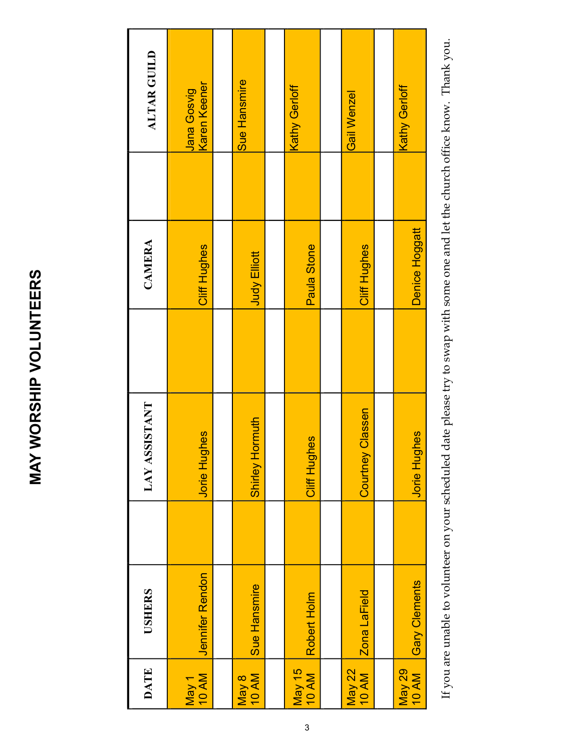# **ALTAR GUILD DATE USHERS LAY ASSISTANT CAMERA ALTAR GUILD** Sue Hansmire Jana Gosvig<br>Karen Keener Karen Keener Kathy Gerloff Kathy Gerloff Gail Wenzel Gail Wenzel CAMERA Cliff Hughes Cliff Hughes Paula Stone 10 AM Jennifer Rendon Jorie Hughes Cliff Hughes 10 AM Robert Holm Cliff Hughes Paula Stone 10 AM Zona LaField Courtney Classen Cliff Hughes **Judy Elliott** 10 AM Sue Hansmire Shirley Hormuth Judy Elliott **LAY ASSISTANT Courtney Classen** Shirley Hormuth **Jorie Hughes** Cliff Hughes **Jennifer Rendon** Sue Hansmire **USHERS** Zona LaField Robert Holm May 15 **DATE** May 22 May 1 May 8

If you are unable to volunteer on your scheduled date please try to swap with some one and let the church office know. Thank you. If you are unable to volunteer on your scheduled date please try to swap with some one and let the church office know. Thank you.

10 AM Gary Clements Jorie Hughes Denice Hoggatt

Jorie Hughes

Kathy Gerloff

Denice Hoggatt

Kathy Gerloff

May 29

Gary Clements

### 3

# **MAY WORSHIP VOLUNTEERS MAY WORSHIP VOLUNTEERS**